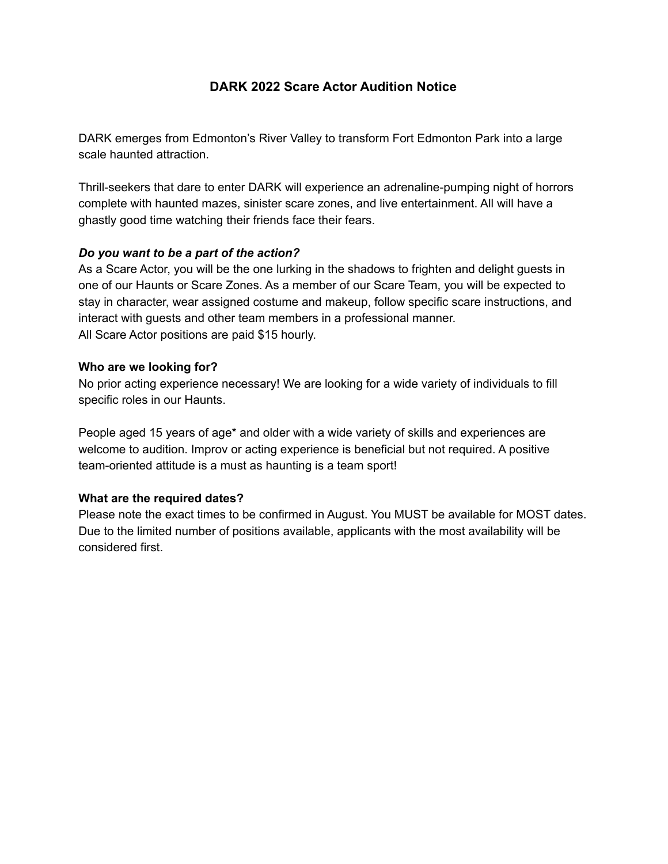# **DARK 2022 Scare Actor Audition Notice**

DARK emerges from Edmonton's River Valley to transform Fort Edmonton Park into a large scale haunted attraction.

Thrill-seekers that dare to enter DARK will experience an adrenaline-pumping night of horrors complete with haunted mazes, sinister scare zones, and live entertainment. All will have a ghastly good time watching their friends face their fears.

### *Do you want to be a part of the action?*

As a Scare Actor, you will be the one lurking in the shadows to frighten and delight guests in one of our Haunts or Scare Zones. As a member of our Scare Team, you will be expected to stay in character, wear assigned costume and makeup, follow specific scare instructions, and interact with guests and other team members in a professional manner. All Scare Actor positions are paid \$15 hourly.

### **Who are we looking for?**

No prior acting experience necessary! We are looking for a wide variety of individuals to fill specific roles in our Haunts.

People aged 15 years of age\* and older with a wide variety of skills and experiences are welcome to audition. Improv or acting experience is beneficial but not required. A positive team-oriented attitude is a must as haunting is a team sport!

## **What are the required dates?**

Please note the exact times to be confirmed in August. You MUST be available for MOST dates. Due to the limited number of positions available, applicants with the most availability will be considered first.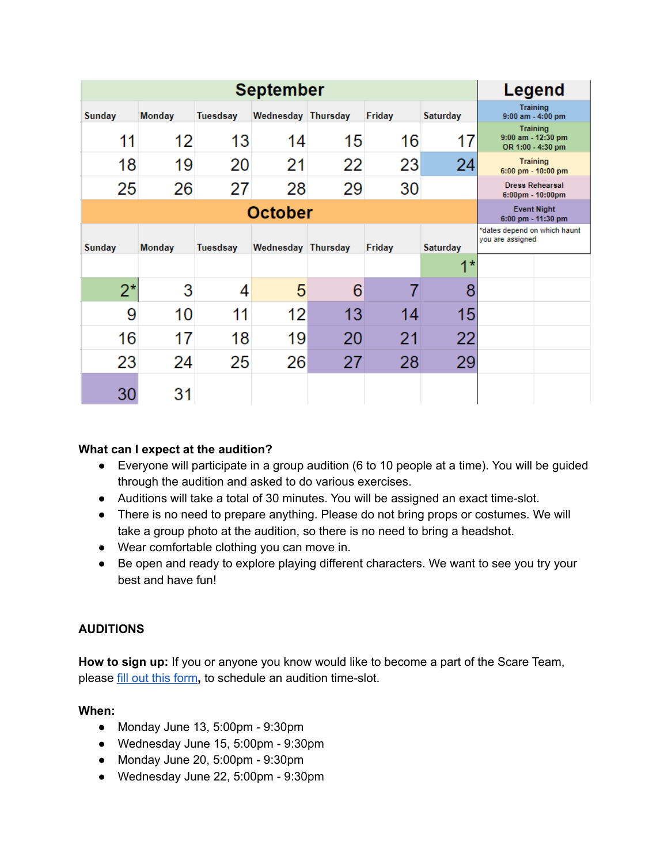| <b>September</b> |               |                 |                    |    |        |                 | Legend                                                       |
|------------------|---------------|-----------------|--------------------|----|--------|-----------------|--------------------------------------------------------------|
| Sunday           | <b>Monday</b> | Tuesdsay        | Wednesday Thursday |    | Friday | <b>Saturday</b> | <b>Training</b><br>9:00 am - 4:00 pm                         |
| 11               | 12            | 13              | 14                 | 15 | 16     | 17              | <b>Training</b><br>9:00 am - 12:30 pm<br>OR 1:00 - 4:30 pm   |
| 18               | 19            | 20              | 21                 | 22 | 23     | 24              | <b>Training</b><br>6:00 pm - 10:00 pm                        |
| 25               | 26            | 27              | 28                 | 29 | 30     |                 | <b>Dress Rehearsal</b><br>$6:00 \text{pm} - 10:00 \text{pm}$ |
| <b>October</b>   |               |                 |                    |    |        |                 | <b>Event Night</b><br>6:00 pm - 11:30 pm                     |
| <b>Sunday</b>    | <b>Monday</b> | <b>Tuesdsay</b> | Wednesday Thursday |    | Friday | <b>Saturday</b> | *dates depend on which haunt<br>you are assigned             |
|                  |               |                 |                    |    |        | $1*$            |                                                              |
| $2^*$            | 3             | 4               | 5                  | 6  |        | 8               |                                                              |
| 9                | 10            | 11              | 12                 | 13 | 14     | 15              |                                                              |
| 16               | 17            | 18              | 19                 | 20 | 21     | 22              |                                                              |
| 23               | 24            | 25              | 26                 | 27 | 28     | 29              |                                                              |
| 30               | 31            |                 |                    |    |        |                 |                                                              |

## **What can I expect at the audition?**

- Everyone will participate in a group audition (6 to 10 people at a time). You will be guided through the audition and asked to do various exercises.
- Auditions will take a total of 30 minutes. You will be assigned an exact time-slot.
- There is no need to prepare anything. Please do not bring props or costumes. We will take a group photo at the audition, so there is no need to bring a headshot.
- Wear comfortable clothing you can move in.
- Be open and ready to explore playing different characters. We want to see you try your best and have fun!

## **AUDITIONS**

**How to sign up:** If you or anyone you know would like to become a part of the Scare Team, please fill out this [form](https://docs.google.com/forms/d/e/1FAIpQLSdPrkGwxE6XvKWLaVNHEImcsW5ej44mg5lr1WQbiMOBH7d1hA/closedform)**,** to schedule an audition time-slot.

## **When:**

- Monday June 13, 5:00pm 9:30pm
- Wednesday June 15, 5:00pm 9:30pm
- Monday June 20, 5:00pm 9:30pm
- Wednesday June 22, 5:00pm 9:30pm